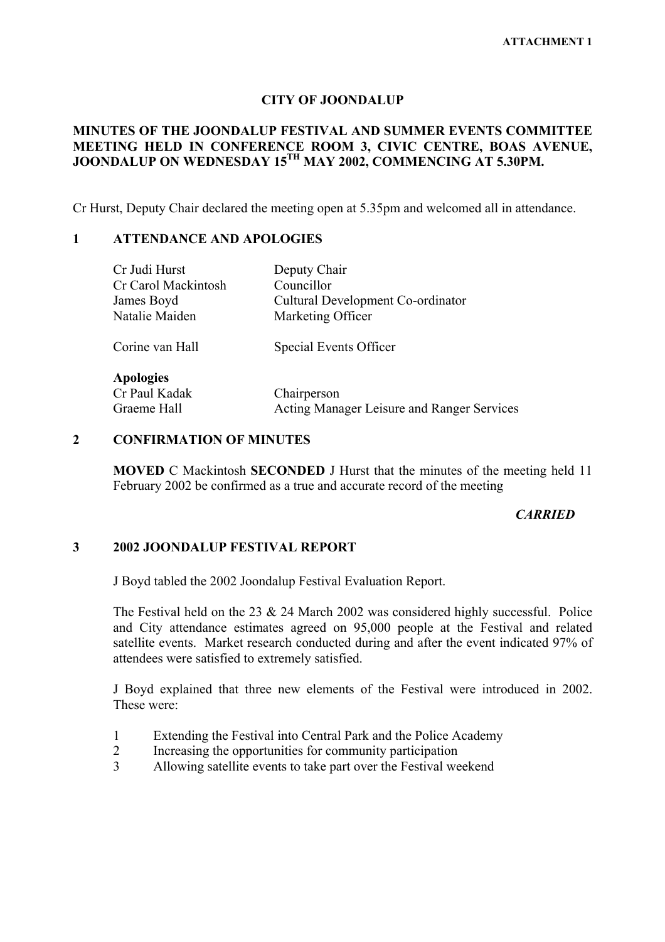### **CITY OF JOONDALUP**

## **MINUTES OF THE JOONDALUP FESTIVAL AND SUMMER EVENTS COMMITTEE MEETING HELD IN CONFERENCE ROOM 3, CIVIC CENTRE, BOAS AVENUE, JOONDALUP ON WEDNESDAY 15TH MAY 2002, COMMENCING AT 5.30PM.**

Cr Hurst, Deputy Chair declared the meeting open at 5.35pm and welcomed all in attendance.

### **1 ATTENDANCE AND APOLOGIES**

| Cr Judi Hurst       | Deputy Chair                               |
|---------------------|--------------------------------------------|
| Cr Carol Mackintosh | Councillor                                 |
| James Boyd          | Cultural Development Co-ordinator          |
| Natalie Maiden      | Marketing Officer                          |
| Corine van Hall     | Special Events Officer                     |
| <b>Apologies</b>    |                                            |
| Cr Paul Kadak       | Chairperson                                |
| Graeme Hall         | Acting Manager Leisure and Ranger Services |

## **2 CONFIRMATION OF MINUTES**

**MOVED** C Mackintosh **SECONDED** J Hurst that the minutes of the meeting held 11 February 2002 be confirmed as a true and accurate record of the meeting

## *CARRIED*

# **3 2002 JOONDALUP FESTIVAL REPORT**

J Boyd tabled the 2002 Joondalup Festival Evaluation Report.

The Festival held on the 23 & 24 March 2002 was considered highly successful. Police and City attendance estimates agreed on 95,000 people at the Festival and related satellite events. Market research conducted during and after the event indicated 97% of attendees were satisfied to extremely satisfied.

J Boyd explained that three new elements of the Festival were introduced in 2002. These were:

- 1 Extending the Festival into Central Park and the Police Academy
- 2 Increasing the opportunities for community participation
- 3 Allowing satellite events to take part over the Festival weekend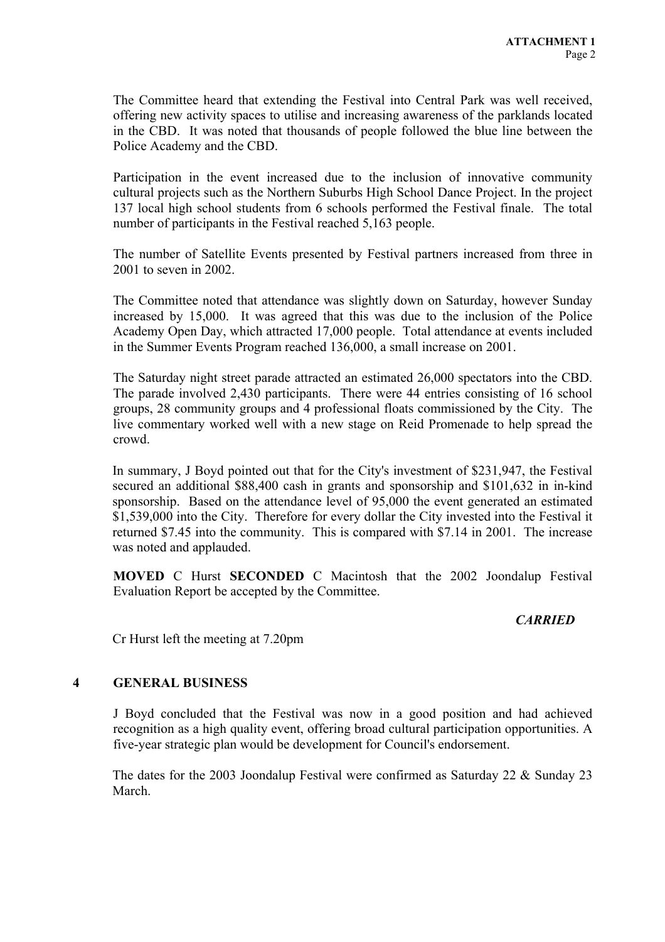The Committee heard that extending the Festival into Central Park was well received, offering new activity spaces to utilise and increasing awareness of the parklands located in the CBD. It was noted that thousands of people followed the blue line between the Police Academy and the CBD.

Participation in the event increased due to the inclusion of innovative community cultural projects such as the Northern Suburbs High School Dance Project. In the project 137 local high school students from 6 schools performed the Festival finale. The total number of participants in the Festival reached 5,163 people.

The number of Satellite Events presented by Festival partners increased from three in 2001 to seven in 2002.

The Committee noted that attendance was slightly down on Saturday, however Sunday increased by 15,000. It was agreed that this was due to the inclusion of the Police Academy Open Day, which attracted 17,000 people. Total attendance at events included in the Summer Events Program reached 136,000, a small increase on 2001.

The Saturday night street parade attracted an estimated 26,000 spectators into the CBD. The parade involved 2,430 participants. There were 44 entries consisting of 16 school groups, 28 community groups and 4 professional floats commissioned by the City. The live commentary worked well with a new stage on Reid Promenade to help spread the crowd.

In summary, J Boyd pointed out that for the City's investment of \$231,947, the Festival secured an additional \$88,400 cash in grants and sponsorship and \$101,632 in in-kind sponsorship. Based on the attendance level of 95,000 the event generated an estimated \$1,539,000 into the City. Therefore for every dollar the City invested into the Festival it returned \$7.45 into the community. This is compared with \$7.14 in 2001. The increase was noted and applauded.

**MOVED** C Hurst **SECONDED** C Macintosh that the 2002 Joondalup Festival Evaluation Report be accepted by the Committee.

# *CARRIED*

Cr Hurst left the meeting at 7.20pm

### **4 GENERAL BUSINESS**

J Boyd concluded that the Festival was now in a good position and had achieved recognition as a high quality event, offering broad cultural participation opportunities. A five-year strategic plan would be development for Council's endorsement.

The dates for the 2003 Joondalup Festival were confirmed as Saturday 22 & Sunday 23 March.